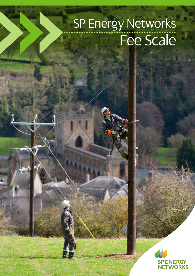# SP Energy Networks Fee Scale

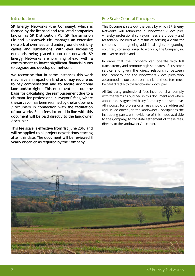### **Introduction**

SP Energy Networks (the Company), which is formed by the licensed and regulated companies known as SP Distribution Plc, SP Transmission Plc and SP Manweb Plc, manages an extensive network of overhead and underground electricity cables and substations. With ever increasing demands being placed upon our network, SP Energy Networks are planning ahead with a commitment to invest significant financial sums to upgrade and develop our network.

We recognise that in some instances this work may have an impact on land and may require us to pay compensation and to secure additional land and/or rights. This document sets out the basis for calculating the reimbursement due to a claimant for professional surveyors' fees, where the surveyor has been retained by the landowners / occupiers in connection with the facilitation of our works. Such fees incurred in line with this document will be paid directly to the landowner / occupier.

This fee scale is effective from 1st June 2016 and will be applied to all project negotiations starting after this date. The document will be reviewed 3 yearly or earlier, as required by the Company.

### Fee Scale General Principles

This Document sets out the basis by which SP Energy Networks will reimburse a landowner / occupier, whereby professional surveyors' fees are properly and reasonably incurred as a result of settling a claim for compensation, agreeing additional rights or granting voluntary consents linked to works by the Company in, on, over or under land.

In order that the Company can operate with full transparency and promote high standards of customer service and given the direct relationship between the Company and the landowners / occupiers who accommodate our assets on their land, these fees must be paid directly to the landowner / occupier.

All 3rd party professional fees incurred, shall comply with the terms as outlined in this document and where applicable, as agreed with any Company representative. All invoices for professional fees should be addressed and issued directly to the landowner / occupier as the instructing party, with evidence of this made available to the Company, to facilitate settlement of these fees, directly to the landowner / occupier.

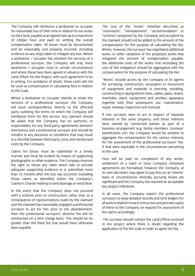The Company will reimburse a landowner or occupier for reasonable loss of their time in relation to our works on their land, payable at an agreed rate up to a maximum of £40per hour and paid on settling the overall compensation claim. All losses must be documented and be reasonably and properly incurred, including evidence on any steps taken to mitigate any loss. Where a landowner / occupier has retained the services of a professional surveyor, the Company will only meet landowner / occupier costs in certain circumstances and where these have been agreed in advance with the Land Officer for the Project, with such agreement to be in writing. For avoidance of doubt, these costs will not be used as compensation in calculating fees in relation to the Scale.

Where a landowner or occupier intends to retain the services of a professional surveyor, the Company will issue correspondence directly to the affected party outlining the terms on which the Company will reimburse them for this service. Any claimant should be aware that the Company has no authority or responsibility for any third party agreements between themselves and a professional surveyor and should be mindful to any decisions or conditions that may result in a shortfall between third party costs and reimbursed costs by the Company.

Claims for losses must be submitted in a timely manner and must be evident by means of supporting photographic or other evidence. The Company reserves the right to refuse any claim which fails to provide adequate supporting evidence or is submitted more than 12 months after the loss has occurred, excluding those claims as identified within the Company's Grantor's Charter relating to land drainage or wind blow.

In the event that the Company does not proceed with a scheme prior to construction, other than as a consequence of representations made by the claimant and the claimant has reasonably engaged a professional surveyor to act for him prior to the abandonment, then the professional surveyors' abortive fee will be reimbursed on a time charge basis. This should be no greater than the fixed fee that would have otherwise been payable.

The cost of the "works" (whether described as "restoration", "reinstatement", "accommodation" or "scheme") proposed by the Company and accepted by the claimant should not be added to the amount of the compensation for the purpose of calculating the fee. Where, however, the surveyor has negotiated additional works or other variations of the proposed works that mitigated the amount of compensation payable, the additional costs of the works (not exceeding the cost of the mitigation) should be aggregated with the compensation for the purpose of calculating the fee.

"Works" include access by the Company or its agents for surveying, construction, excavation or movement of equipment and materials in erecting, installing, constructing or laying electric lines, cables, pipes, drains, manholes, plant, equipment and ancillary apparatus together with their subsequent use, maintenance, repair, renewal, inspection and removal.

If one surveyor were to act in respect of separate interests in the same property, and those interests were owned by connected parties as part of a business arrangement (e.g. family members, trustees/ beneficiaries etc) the Company would be entitled to aggregate the compensation for the various interests for the assessment of the professional surveyors' fee, if that were equitable in the circumstances pertaining to the case.

Fees will be paid on completion of any works, settlement of a claim or once Company compliant agreements are formalised, however the Company, at its own discretion may agree to pay fees on an 'interim' basis in circumstances whereby accruing losses are significant and the Company has reached an acceptable key project milestone.

In all cases, the Company expect the professional surveyors to keep detailed records and time ledgers for all work in relation to each instruction and provide copies of these to the Company on request for assessment of fee claims accordingly.

 The surveyor should contact the Land Officer involved in the project where there is doubt regarding the application of the fee scale in order to agree the fee.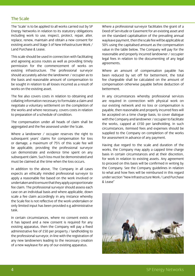### The Scale

The 'Scale' is to be applied to all works carried out by SP Energy Networks in relation to its statutory obligations including work to use, inspect, protect, repair, alter, replace, renew, maintain and obtain a new consent for existing assets and Stage 3 of New Infrastructure Work / Land Purchase & Lease.

This scale should be used in connection with facilitating and agreeing access routes as well as providing timely permission for the commencement of works on existing infrastructure. The professional surveyor should accurately advise the landowner / occupier as to the basis and reasonable amount of compensation to be sought in relation to all losses incurred as a result of works on the existing asset.

The fee also covers costs in relation to obtaining and collating information necessary to formulate a claim and negotiate a voluntary settlement on the completion of the works and where necessary, covers costs in relation to preparation of a schedule of condition.

The compensation under all heads of claim shall be aggregated and the fee assessed under the Scale.

Where a landowner / occupier reserves the right to subsequent years' claims for compensation for loss or damage, a maximum of 75% of this scale fee will be applicable, providing the professional surveyor can demonstrate and evidence time spent on any subsequent claim. Such loss must be demonstrated and must be claimed at the time when the loss occurs.

In addition to the above, The Company in all cases expects an ethically minded professional surveyor to apply a reasonable fee based on the work involved or undertaken and to ensure that they apply a proportionate fee claim. The professional surveyor should assess each case on an individual basis and where applicable, down scale a fee claim accordingly in any instance whereby the Scale fee is not reflective of the work undertaken or only limited input has been provided e.g administrative task.

In certain circumstances, where no consent exists or it has lapsed and a new consent is required for any existing apparatus, then the Company will pay a fixed administrative fee of £50 per property / landholding to the professional surveyor, in line with the registration of any new landowners leading to the necessary creation of a new wayleave for any of our existing apparatus.

Where a professional surveyor facilitates the grant of a Deed of Servitude or Easement for an existing asset and on the standard capitalisation of the prevailing annual wayleave payment, then the scale fee will be applicable at 50% using the capitalised amount as the compensation value in the table below. The Company will pay for the reasonable and properly incurred landowner / occupier legal fees in relation to the documenting of any legal agreements.

Where an amount of compensation payable has been reduced by set off for betterment, the total fee chargeable shall be calculated on the amount of compensation otherwise payable before deduction of betterment.

In any circumstances whereby professional services are required in connection with physical work on our existing network and no loss or compensation is payable, then reasonable and properly incurred fees will be accepted on a time charge basis, to cover dialogue with the Company and landowner / occupier to facilitate the works, capped at £150 per landholding. In such circumstances, itemised fees and expenses should be supplied to the Company on completion of the works for assessment in advance of any payment.

Having due regard to the scale and duration of the works, the Company may apply a capped time charge basis in certain circumstances and at their discretion, for work in relation to existing assets. Any agreement to proceed on this basis will be confirmed in writing by the Company. See the Company guidelines in relation to what and how fees will be reimbursed in this regard under section "New Infrastructure Work / Land Purchase & Lease"

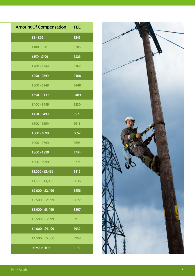| <b>Amount Of Compensation FEE</b> |      |
|-----------------------------------|------|
| $E1 - E99$                        | £245 |
| £100 - £149                       | £285 |
| £150 - £199                       | £326 |
| £200 - £249                       | £367 |
| £250 - £299                       | £408 |
| £300 - £349                       | £448 |
| £350 - £399                       | £489 |
| £400 - £449                       | £530 |
| £450 - £499                       | £571 |
| £500 - £599                       | £611 |
| £600 - £699                       | £652 |
| £700 - £799                       | £693 |
| £800 - £899                       | £734 |
| £900 - £999                       | £774 |
| £1,000 - £1,499                   | £815 |
| £1,500 - £1,999                   | £836 |
| £2,000 - £2,499                   | £856 |
| £2,500 - £2,999                   | £877 |
| £3,000 - £3,499                   | £897 |
| £3,500 - £3,999                   | £918 |
| £4,000 - £4,499                   | £937 |
| £4,500 - £5,000                   | £958 |
| <b>REMAINDER</b>                  | 2.1% |

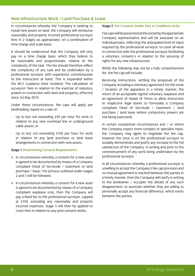## New Infrastructure Work / Land Purchase & Lease

In circumstances whereby the Company is seeking to install new assets on land, the Company will reimburse reasonably and properly incurred professional surveyor fees in 2 stages (as appropriate), on a combination of time charge and scale basis.

It should be understood that the Company will only pay on a time charge basis, which they believe to be reasonable and proportionate, relative to the complexity of the task. The fee should therefore reflect the complexity of any task and be undertaken by a professional surveyor with experience commensurate to the instruction at hand. This is expanded within the RICS Guidance Note Scotland; The calculation of surveyors' fees in relation to the exercise of statutory powers in connection with land and property, effective since 1st May 2014.

Under these circumstances, fee caps will apply per landholding, based on a rate of;

- Up to but not exceeding £95 per hour for work in relation to any new overhead line or underground cable assets; or
- Up to but not exceeding £150 per hour for work in relation to any land purchase or land lease arrangements in connection with new assets.

#### Stage 1 Determining Consent Requirements

- A In circumstances whereby a consent for a new asset is agreed to be documented by means of a Company compliant Deed of Servitude / Easement or land purchase / lease: The process outlined under stages 2 and 3 will be followed.
- **B** In circumstances whereby a consent for a new asset is agreed to be documented by means of a Company compliant wayleave only, then the Company will pay a fixed fee to the professional surveyor, capped at £150, excluding any reasonably and properly incurred expenses. Stage 3 will then be applied to cover fees in relation to any post consent works.

#### Stage 2 Pre-Consent (Under Part A Conditions Only)

Fee caps will be presented at the outset by the appropriate Company representative and will be assessed on an individual basis, reflecting the anticipated level of input required by the professional surveyor, to cover all work in connection with the professional surveyor facilitating a voluntary consent/s in relation to the securing of rights for any new infrastructure.

Whilst the following may not be a fully comprehensive list, the fee cap will include;

Receiving instructions, settling the proposals of the Company including a voluntary agreement for the route / location of the apparatus in a timely manner, the return of an acceptable signed voluntary wayleave and an agreement of Heads of Terms to allow instruction to respective legal teams to formulate a Company compliant Deed of Servitude / Easement / land purchase / land lease (where compulsory powers are not being exercised).

In certain exceptional circumstances and / or where the Company expect more complex or specialist input, the Company may agree to negotiate the fee cap, however the onus is on the professional surveyor to suitably demonstrate and justify any increase to the full satisfaction of the Company, in writing and prior to the commencement of any work being undertaken by the professional surveyor.

In all circumstances whereby a professional surveyor is unwilling to accept the Company's fee cap provision and no mutual agreement is reached between the parties in a timely manner, then the Company will clarify in writing to the landowner / occupier the details of any such disagreement, to ascertain whether they are willing to personally accept any financial difference, which exists between the parties.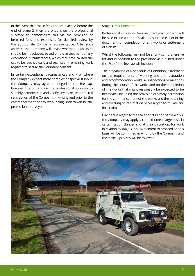In the event that these fee caps are reached before the end of stage 2, then the onus is on the professional surveyor to demonstrate this via the provision of itemised fees and expenses, for detailed review by the appropriate Company representative. After such analysis, the Company will advise whether a cap uplift should be introduced, based on the assessment of any exceptional circumstances, which may have caused the cap to be reached early and against any remaining work required to secure the voluntary consent.

In certain exceptional circumstances and / or where the Company expect more complex or specialist input, the Company may agree to negotiate the fee cap, however the onus is on the professional surveyor to suitably demonstrate and justify any increase to the full satisfaction of the Company, in writing and prior to the commencement of any work being undertaken by the professional surveyor.

#### Stage 3 Post Consent

Professional surveyors fees incurred post consent will be paid in line with the 'Scale', as outlined earlier in the document, on completion of any works or settlement of a claim.

Whilst the following may not be a fully comprehensive list and in addition to the provisions as outlined under the 'Scale', the fee cap will include;

The preparation of a 'Schedule of Condition', agreement on the requirements of working and any restoration and accommodation works, all inspections or meetings during the course of the works and on the completion of the works that might reasonably be expected to be necessary, including the provision of timely permission for the commencement of the works and the obtaining and collating of information necessary to formulate any final claim.

Having due regard to the scale and duration of the works, the Company may apply a capped time charge basis in certain circumstances and at their discretion, for work in relation to stage 3. Any agreement to proceed on this basis will be confirmed in writing by the Company and the stage 2 process will be followed.